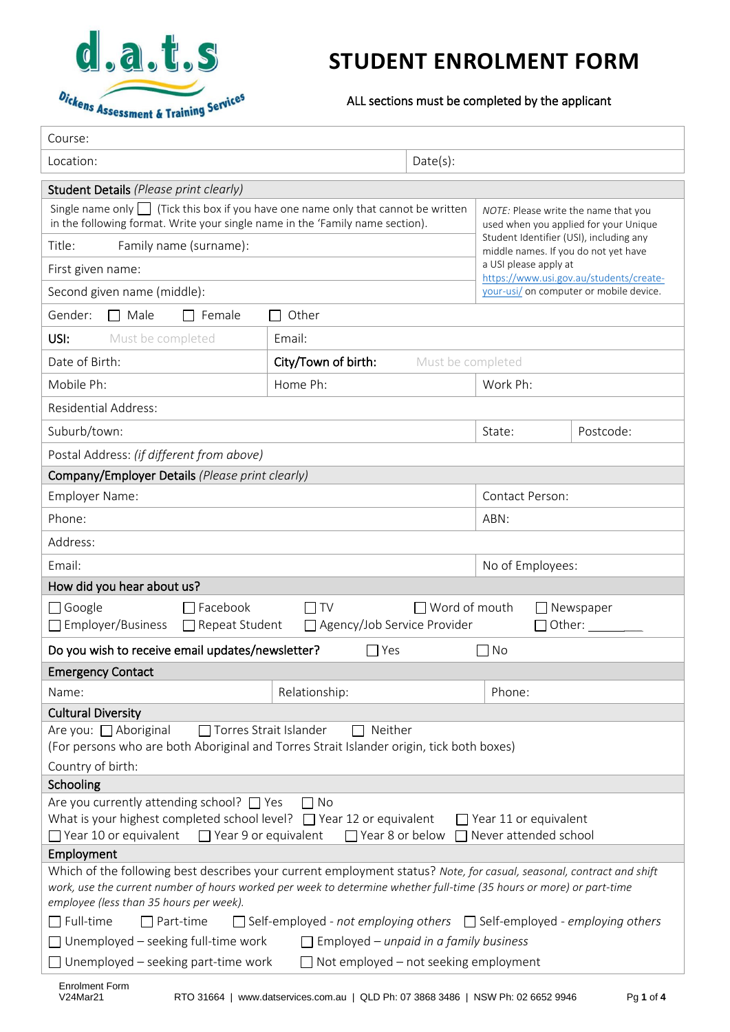

# **STUDENT ENROLMENT FORM**

ALL sections must be completed by the applicant

| Course:                                                                                                                                                                                                                                                                                                                                                                                                                |                                            |                      |                                                                                                                                                     |                            |  |  |
|------------------------------------------------------------------------------------------------------------------------------------------------------------------------------------------------------------------------------------------------------------------------------------------------------------------------------------------------------------------------------------------------------------------------|--------------------------------------------|----------------------|-----------------------------------------------------------------------------------------------------------------------------------------------------|----------------------------|--|--|
| Date(s):<br>Location:                                                                                                                                                                                                                                                                                                                                                                                                  |                                            |                      |                                                                                                                                                     |                            |  |  |
| Student Details (Please print clearly)                                                                                                                                                                                                                                                                                                                                                                                 |                                            |                      |                                                                                                                                                     |                            |  |  |
| Single name only $\Box$ (Tick this box if you have one name only that cannot be written<br>in the following format. Write your single name in the 'Family name section).                                                                                                                                                                                                                                               |                                            |                      | NOTE: Please write the name that you<br>used when you applied for your Unique                                                                       |                            |  |  |
| Title:<br>Family name (surname):                                                                                                                                                                                                                                                                                                                                                                                       |                                            |                      | Student Identifier (USI), including any<br>middle names. If you do not yet have<br>a USI please apply at<br>https://www.usi.gov.au/students/create- |                            |  |  |
| First given name:                                                                                                                                                                                                                                                                                                                                                                                                      |                                            |                      |                                                                                                                                                     |                            |  |  |
| Second given name (middle):                                                                                                                                                                                                                                                                                                                                                                                            |                                            |                      | your-usi/ on computer or mobile device.                                                                                                             |                            |  |  |
| Gender:<br>$\Box$ Male<br>$\Box$ Female<br>Other<br>$\blacksquare$                                                                                                                                                                                                                                                                                                                                                     |                                            |                      |                                                                                                                                                     |                            |  |  |
| Must be completed<br>USI:                                                                                                                                                                                                                                                                                                                                                                                              | Email:                                     |                      |                                                                                                                                                     |                            |  |  |
| Date of Birth:                                                                                                                                                                                                                                                                                                                                                                                                         | City/Town of birth:                        | Must be completed    |                                                                                                                                                     |                            |  |  |
| Mobile Ph:                                                                                                                                                                                                                                                                                                                                                                                                             | Home Ph:                                   |                      | Work Ph:                                                                                                                                            |                            |  |  |
| <b>Residential Address:</b>                                                                                                                                                                                                                                                                                                                                                                                            |                                            |                      |                                                                                                                                                     |                            |  |  |
| Suburb/town:                                                                                                                                                                                                                                                                                                                                                                                                           |                                            |                      | State:                                                                                                                                              | Postcode:                  |  |  |
| Postal Address: (if different from above)                                                                                                                                                                                                                                                                                                                                                                              |                                            |                      |                                                                                                                                                     |                            |  |  |
| Company/Employer Details (Please print clearly)                                                                                                                                                                                                                                                                                                                                                                        |                                            |                      |                                                                                                                                                     |                            |  |  |
| Employer Name:                                                                                                                                                                                                                                                                                                                                                                                                         |                                            | Contact Person:      |                                                                                                                                                     |                            |  |  |
| Phone:                                                                                                                                                                                                                                                                                                                                                                                                                 |                                            |                      | ABN:                                                                                                                                                |                            |  |  |
| Address:                                                                                                                                                                                                                                                                                                                                                                                                               |                                            |                      |                                                                                                                                                     |                            |  |  |
| Email:                                                                                                                                                                                                                                                                                                                                                                                                                 |                                            |                      | No of Employees:                                                                                                                                    |                            |  |  |
| How did you hear about us?                                                                                                                                                                                                                                                                                                                                                                                             |                                            |                      |                                                                                                                                                     |                            |  |  |
| $\Box$ Google<br>$\Box$ Facebook<br>Employer/Business<br>Repeat Student                                                                                                                                                                                                                                                                                                                                                | $\Box$ TV<br>□ Agency/Job Service Provider | $\Box$ Word of mouth |                                                                                                                                                     | Newspaper<br>Other: $\_\_$ |  |  |
| Do you wish to receive email updates/newsletter?                                                                                                                                                                                                                                                                                                                                                                       | $\Box$ Yes                                 |                      | $\Box$ No                                                                                                                                           |                            |  |  |
| <b>Emergency Contact</b>                                                                                                                                                                                                                                                                                                                                                                                               |                                            |                      |                                                                                                                                                     |                            |  |  |
| Name:                                                                                                                                                                                                                                                                                                                                                                                                                  | Relationship:                              |                      | Phone:                                                                                                                                              |                            |  |  |
| <b>Cultural Diversity</b>                                                                                                                                                                                                                                                                                                                                                                                              |                                            |                      |                                                                                                                                                     |                            |  |  |
| Are you: □ Aboriginal<br>□ Torres Strait Islander<br>$\Box$ Neither<br>(For persons who are both Aboriginal and Torres Strait Islander origin, tick both boxes)                                                                                                                                                                                                                                                        |                                            |                      |                                                                                                                                                     |                            |  |  |
| Country of birth:<br>Schooling                                                                                                                                                                                                                                                                                                                                                                                         |                                            |                      |                                                                                                                                                     |                            |  |  |
| Are you currently attending school? $\Box$ Yes<br>$\Box$ No<br>What is your highest completed school level? $\Box$ Year 12 or equivalent<br>$\Box$ Year 11 or equivalent<br>$\Box$ Year 10 or equivalent<br>$\Box$ Year 9 or equivalent<br>$\Box$ Year 8 or below<br>□ Never attended school                                                                                                                           |                                            |                      |                                                                                                                                                     |                            |  |  |
| Employment                                                                                                                                                                                                                                                                                                                                                                                                             |                                            |                      |                                                                                                                                                     |                            |  |  |
| Which of the following best describes your current employment status? Note, for casual, seasonal, contract and shift<br>work, use the current number of hours worked per week to determine whether full-time (35 hours or more) or part-time<br>employee (less than 35 hours per week).<br>$\Box$ Full-time<br>$\Box$ Part-time<br>$\Box$ Self-employed - not employing others $\Box$ Self-employed - employing others |                                            |                      |                                                                                                                                                     |                            |  |  |
| $\Box$ Unemployed – seeking full-time work<br>$\Box$ Employed – unpaid in a family business                                                                                                                                                                                                                                                                                                                            |                                            |                      |                                                                                                                                                     |                            |  |  |
| Unemployed - seeking part-time work<br>$\Box$ Not employed – not seeking employment                                                                                                                                                                                                                                                                                                                                    |                                            |                      |                                                                                                                                                     |                            |  |  |
| <b>Enrolment Form</b><br>V24Mar21<br>RTO 31664   www.datservices.com.au   QLD Ph: 07 3868 3486   NSW Ph: 02 6652 9946<br>Pg 1 of 4                                                                                                                                                                                                                                                                                     |                                            |                      |                                                                                                                                                     |                            |  |  |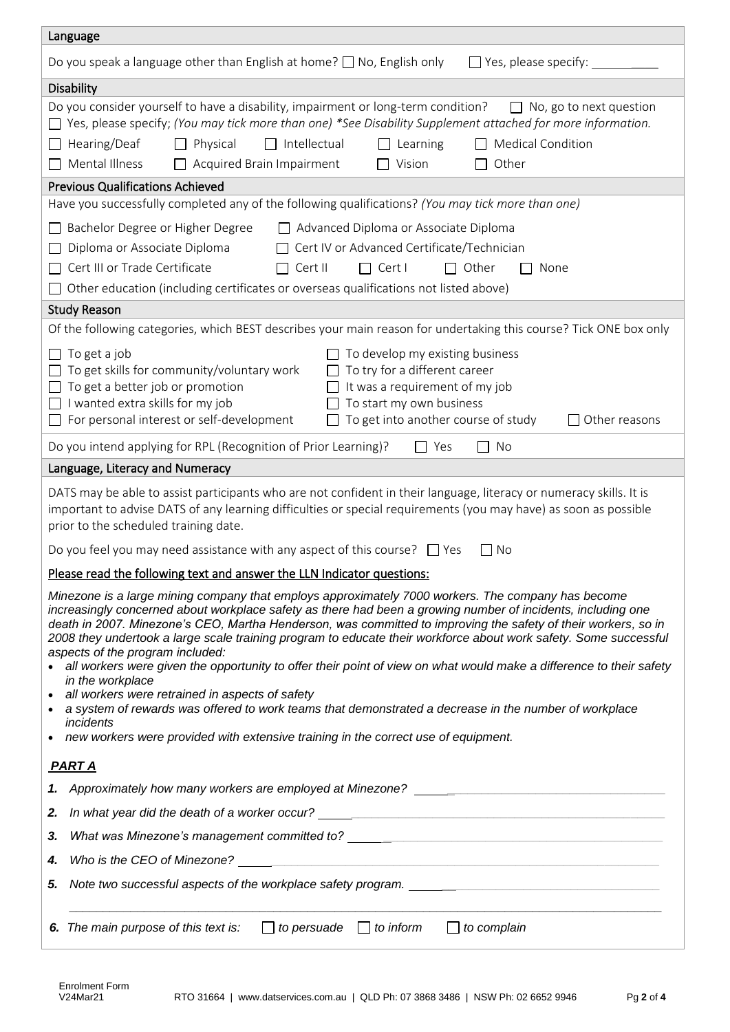| Language                                                                                                                                                                                                                                                                                                                                                                                                                                                                                                                                                                                                                                                                                                                                                                                                                                                                                                 |  |  |  |  |  |
|----------------------------------------------------------------------------------------------------------------------------------------------------------------------------------------------------------------------------------------------------------------------------------------------------------------------------------------------------------------------------------------------------------------------------------------------------------------------------------------------------------------------------------------------------------------------------------------------------------------------------------------------------------------------------------------------------------------------------------------------------------------------------------------------------------------------------------------------------------------------------------------------------------|--|--|--|--|--|
| $\Box$ Yes, please specify:<br>Do you speak a language other than English at home? $\Box$ No, English only                                                                                                                                                                                                                                                                                                                                                                                                                                                                                                                                                                                                                                                                                                                                                                                               |  |  |  |  |  |
| <b>Disability</b>                                                                                                                                                                                                                                                                                                                                                                                                                                                                                                                                                                                                                                                                                                                                                                                                                                                                                        |  |  |  |  |  |
| Do you consider yourself to have a disability, impairment or long-term condition?<br>$\Box$ No, go to next question<br>Yes, please specify; (You may tick more than one) *See Disability Supplement attached for more information.<br>Hearing/Deaf<br>$\Box$ Intellectual<br><b>Medical Condition</b><br>Physical<br>Learning<br>Mental Illness<br>Vision<br>$\Box$ Acquired Brain Impairment<br>Other<br>$\mathsf{L}$<br><b>Previous Qualifications Achieved</b>                                                                                                                                                                                                                                                                                                                                                                                                                                        |  |  |  |  |  |
| Have you successfully completed any of the following qualifications? (You may tick more than one)                                                                                                                                                                                                                                                                                                                                                                                                                                                                                                                                                                                                                                                                                                                                                                                                        |  |  |  |  |  |
| Advanced Diploma or Associate Diploma<br>Bachelor Degree or Higher Degree<br>Cert IV or Advanced Certificate/Technician<br>Diploma or Associate Diploma<br>Cert III or Trade Certificate<br>$\Box$ Cert II<br>$\Box$ Cert I<br>$\Box$ Other<br>None<br>Other education (including certificates or overseas qualifications not listed above)                                                                                                                                                                                                                                                                                                                                                                                                                                                                                                                                                              |  |  |  |  |  |
| <b>Study Reason</b>                                                                                                                                                                                                                                                                                                                                                                                                                                                                                                                                                                                                                                                                                                                                                                                                                                                                                      |  |  |  |  |  |
| Of the following categories, which BEST describes your main reason for undertaking this course? Tick ONE box only<br>To get a job<br>To develop my existing business<br>To try for a different career<br>To get skills for community/voluntary work<br>To get a better job or promotion<br>It was a requirement of my job<br>I wanted extra skills for my job<br>To start my own business<br>$\perp$<br>For personal interest or self-development<br>To get into another course of study<br>Other reasons                                                                                                                                                                                                                                                                                                                                                                                                |  |  |  |  |  |
| Do you intend applying for RPL (Recognition of Prior Learning)?<br>$\Box$ Yes<br>No                                                                                                                                                                                                                                                                                                                                                                                                                                                                                                                                                                                                                                                                                                                                                                                                                      |  |  |  |  |  |
| Language, Literacy and Numeracy                                                                                                                                                                                                                                                                                                                                                                                                                                                                                                                                                                                                                                                                                                                                                                                                                                                                          |  |  |  |  |  |
| DATS may be able to assist participants who are not confident in their language, literacy or numeracy skills. It is<br>important to advise DATS of any learning difficulties or special requirements (you may have) as soon as possible<br>prior to the scheduled training date.                                                                                                                                                                                                                                                                                                                                                                                                                                                                                                                                                                                                                         |  |  |  |  |  |
| Do you feel you may need assistance with any aspect of this course? $\Box$ Yes<br>No                                                                                                                                                                                                                                                                                                                                                                                                                                                                                                                                                                                                                                                                                                                                                                                                                     |  |  |  |  |  |
| Please read the following text and answer the LLN Indicator questions:                                                                                                                                                                                                                                                                                                                                                                                                                                                                                                                                                                                                                                                                                                                                                                                                                                   |  |  |  |  |  |
| Minezone is a large mining company that employs approximately 7000 workers. The company has become<br>increasingly concerned about workplace safety as there had been a growing number of incidents, including one<br>death in 2007. Minezone's CEO, Martha Henderson, was committed to improving the safety of their workers, so in<br>2008 they undertook a large scale training program to educate their workforce about work safety. Some successful<br>aspects of the program included:<br>all workers were given the opportunity to offer their point of view on what would make a difference to their safety<br>in the workplace<br>• all workers were retrained in aspects of safety<br>a system of rewards was offered to work teams that demonstrated a decrease in the number of workplace<br>incidents<br>new workers were provided with extensive training in the correct use of equipment. |  |  |  |  |  |
| <b>PART A</b>                                                                                                                                                                                                                                                                                                                                                                                                                                                                                                                                                                                                                                                                                                                                                                                                                                                                                            |  |  |  |  |  |
|                                                                                                                                                                                                                                                                                                                                                                                                                                                                                                                                                                                                                                                                                                                                                                                                                                                                                                          |  |  |  |  |  |
| In what year did the death of a worker occur? ___________________________________<br>2.                                                                                                                                                                                                                                                                                                                                                                                                                                                                                                                                                                                                                                                                                                                                                                                                                  |  |  |  |  |  |
| 3.                                                                                                                                                                                                                                                                                                                                                                                                                                                                                                                                                                                                                                                                                                                                                                                                                                                                                                       |  |  |  |  |  |
| 4.                                                                                                                                                                                                                                                                                                                                                                                                                                                                                                                                                                                                                                                                                                                                                                                                                                                                                                       |  |  |  |  |  |
| Note two successful aspects of the workplace safety program.<br>5.                                                                                                                                                                                                                                                                                                                                                                                                                                                                                                                                                                                                                                                                                                                                                                                                                                       |  |  |  |  |  |
| $\Box$ to inform<br>$\Box$ to complain<br>6. The main purpose of this text is:<br>$\Box$ to persuade                                                                                                                                                                                                                                                                                                                                                                                                                                                                                                                                                                                                                                                                                                                                                                                                     |  |  |  |  |  |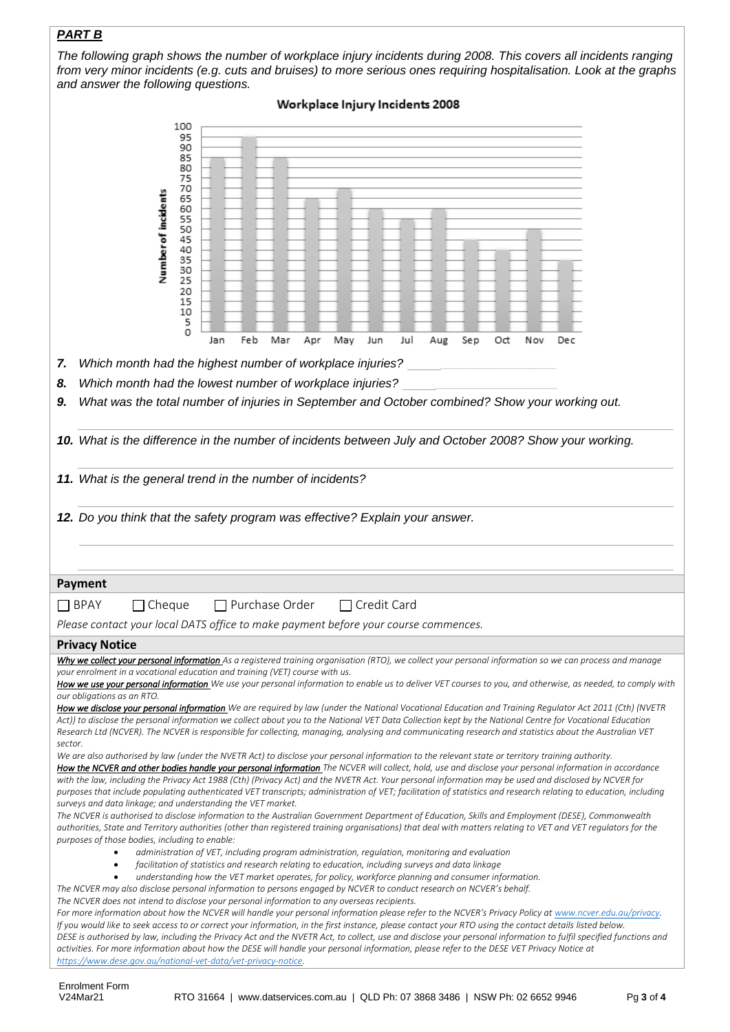## *PART B*

*The following graph shows the number of workplace injury incidents during 2008. This covers all incidents ranging from very minor incidents (e.g. cuts and bruises) to more serious ones requiring hospitalisation. Look at the graphs and answer the following questions.*

| Workplace Injury Incidents 2008                                                                                                                                                                                                                                                                                                                                                                                                                                                                                                                                                                                                                                                                                                                                                                                                                                                                                                                                                                                                                                                                                                                                                                                                                                                                                                                                                                                                                                                                                                                                                                                                                                                                                                                                                                                                                                                                                                                                                                                                                                                                                                                                             |  |  |  |  |  |
|-----------------------------------------------------------------------------------------------------------------------------------------------------------------------------------------------------------------------------------------------------------------------------------------------------------------------------------------------------------------------------------------------------------------------------------------------------------------------------------------------------------------------------------------------------------------------------------------------------------------------------------------------------------------------------------------------------------------------------------------------------------------------------------------------------------------------------------------------------------------------------------------------------------------------------------------------------------------------------------------------------------------------------------------------------------------------------------------------------------------------------------------------------------------------------------------------------------------------------------------------------------------------------------------------------------------------------------------------------------------------------------------------------------------------------------------------------------------------------------------------------------------------------------------------------------------------------------------------------------------------------------------------------------------------------------------------------------------------------------------------------------------------------------------------------------------------------------------------------------------------------------------------------------------------------------------------------------------------------------------------------------------------------------------------------------------------------------------------------------------------------------------------------------------------------|--|--|--|--|--|
| 100<br>95<br>90<br>85<br>80<br>75<br>70<br>Number of incidents<br>65<br>60<br>55<br>50<br>45<br>40<br>35<br>30<br>25<br>20<br>15<br>10<br>5<br>0<br>Sep<br>Feb<br>Mar<br>Apr<br>May<br>Jun<br>Jul<br>Aug<br>Οđ<br>Nov<br>Dec<br>Jan                                                                                                                                                                                                                                                                                                                                                                                                                                                                                                                                                                                                                                                                                                                                                                                                                                                                                                                                                                                                                                                                                                                                                                                                                                                                                                                                                                                                                                                                                                                                                                                                                                                                                                                                                                                                                                                                                                                                         |  |  |  |  |  |
| Which month had the highest number of workplace injuries?<br>7.                                                                                                                                                                                                                                                                                                                                                                                                                                                                                                                                                                                                                                                                                                                                                                                                                                                                                                                                                                                                                                                                                                                                                                                                                                                                                                                                                                                                                                                                                                                                                                                                                                                                                                                                                                                                                                                                                                                                                                                                                                                                                                             |  |  |  |  |  |
| Which month had the lowest number of workplace injuries?<br>8.                                                                                                                                                                                                                                                                                                                                                                                                                                                                                                                                                                                                                                                                                                                                                                                                                                                                                                                                                                                                                                                                                                                                                                                                                                                                                                                                                                                                                                                                                                                                                                                                                                                                                                                                                                                                                                                                                                                                                                                                                                                                                                              |  |  |  |  |  |
| What was the total number of injuries in September and October combined? Show your working out.<br>9.                                                                                                                                                                                                                                                                                                                                                                                                                                                                                                                                                                                                                                                                                                                                                                                                                                                                                                                                                                                                                                                                                                                                                                                                                                                                                                                                                                                                                                                                                                                                                                                                                                                                                                                                                                                                                                                                                                                                                                                                                                                                       |  |  |  |  |  |
| 10. What is the difference in the number of incidents between July and October 2008? Show your working.                                                                                                                                                                                                                                                                                                                                                                                                                                                                                                                                                                                                                                                                                                                                                                                                                                                                                                                                                                                                                                                                                                                                                                                                                                                                                                                                                                                                                                                                                                                                                                                                                                                                                                                                                                                                                                                                                                                                                                                                                                                                     |  |  |  |  |  |
| 11. What is the general trend in the number of incidents?                                                                                                                                                                                                                                                                                                                                                                                                                                                                                                                                                                                                                                                                                                                                                                                                                                                                                                                                                                                                                                                                                                                                                                                                                                                                                                                                                                                                                                                                                                                                                                                                                                                                                                                                                                                                                                                                                                                                                                                                                                                                                                                   |  |  |  |  |  |
| 12. Do you think that the safety program was effective? Explain your answer.                                                                                                                                                                                                                                                                                                                                                                                                                                                                                                                                                                                                                                                                                                                                                                                                                                                                                                                                                                                                                                                                                                                                                                                                                                                                                                                                                                                                                                                                                                                                                                                                                                                                                                                                                                                                                                                                                                                                                                                                                                                                                                |  |  |  |  |  |
| <b>Payment</b>                                                                                                                                                                                                                                                                                                                                                                                                                                                                                                                                                                                                                                                                                                                                                                                                                                                                                                                                                                                                                                                                                                                                                                                                                                                                                                                                                                                                                                                                                                                                                                                                                                                                                                                                                                                                                                                                                                                                                                                                                                                                                                                                                              |  |  |  |  |  |
| $\Box$ Purchase Order<br>$\Box$ BPAY<br>Cheque<br>$\Box$ Credit Card                                                                                                                                                                                                                                                                                                                                                                                                                                                                                                                                                                                                                                                                                                                                                                                                                                                                                                                                                                                                                                                                                                                                                                                                                                                                                                                                                                                                                                                                                                                                                                                                                                                                                                                                                                                                                                                                                                                                                                                                                                                                                                        |  |  |  |  |  |
| Please contact your local DATS office to make payment before your course commences.                                                                                                                                                                                                                                                                                                                                                                                                                                                                                                                                                                                                                                                                                                                                                                                                                                                                                                                                                                                                                                                                                                                                                                                                                                                                                                                                                                                                                                                                                                                                                                                                                                                                                                                                                                                                                                                                                                                                                                                                                                                                                         |  |  |  |  |  |
| <b>Privacy Notice</b><br>Why we collect your personal information As a registered training organisation (RTO), we collect your personal information so we can process and manage                                                                                                                                                                                                                                                                                                                                                                                                                                                                                                                                                                                                                                                                                                                                                                                                                                                                                                                                                                                                                                                                                                                                                                                                                                                                                                                                                                                                                                                                                                                                                                                                                                                                                                                                                                                                                                                                                                                                                                                            |  |  |  |  |  |
| your enrolment in a vocational education and training (VET) course with us.<br>How we use your personal information We use your personal information to enable us to deliver VET courses to you, and otherwise, as needed, to comply with<br>our obligations as an RTO.<br>How we disclose your personal information We are required by law (under the National Vocational Education and Training Regulator Act 2011 (Cth) (NVETR<br>Act)) to disclose the personal information we collect about you to the National VET Data Collection kept by the National Centre for Vocational Education<br>Research Ltd (NCVER). The NCVER is responsible for collecting, managing, analysing and communicating research and statistics about the Australian VET<br>sector.<br>We are also authorised by law (under the NVETR Act) to disclose your personal information to the relevant state or territory training authority.<br>How the NCVER and other bodies handle your personal information The NCVER will collect, hold, use and disclose your personal information in accordance<br>with the law, including the Privacy Act 1988 (Cth) (Privacy Act) and the NVETR Act. Your personal information may be used and disclosed by NCVER for<br>purposes that include populating authenticated VET transcripts; administration of VET; facilitation of statistics and research relating to education, including<br>surveys and data linkage; and understanding the VET market.<br>The NCVER is authorised to disclose information to the Australian Government Department of Education, Skills and Employment (DESE), Commonwealth<br>authorities, State and Territory authorities (other than registered training organisations) that deal with matters relating to VET and VET regulators for the<br>purposes of those bodies, including to enable:<br>administration of VET, including program administration, regulation, monitoring and evaluation<br>facilitation of statistics and research relating to education, including surveys and data linkage<br>$\bullet$<br>understanding how the VET market operates, for policy, workforce planning and consumer information. |  |  |  |  |  |
| The NCVER may also disclose personal information to persons engaged by NCVER to conduct research on NCVER's behalf.<br>The NCVER does not intend to disclose your personal information to any overseas recipients.<br>For more information about how the NCVER will handle your personal information please refer to the NCVER's Privacy Policy at www.ncver.edu.au/privacy.<br>If you would like to seek access to or correct your information, in the first instance, please contact your RTO using the contact details listed below.<br>DESE is authorised by law, including the Privacy Act and the NVETR Act, to collect, use and disclose your personal information to fulfil specified functions and<br>activities. For more information about how the DESE will handle your personal information, please refer to the DESE VET Privacy Notice at<br>https://www.dese.gov.au/national-vet-data/vet-privacy-notice.                                                                                                                                                                                                                                                                                                                                                                                                                                                                                                                                                                                                                                                                                                                                                                                                                                                                                                                                                                                                                                                                                                                                                                                                                                                   |  |  |  |  |  |

Enrolment Form<br>V24Mar21